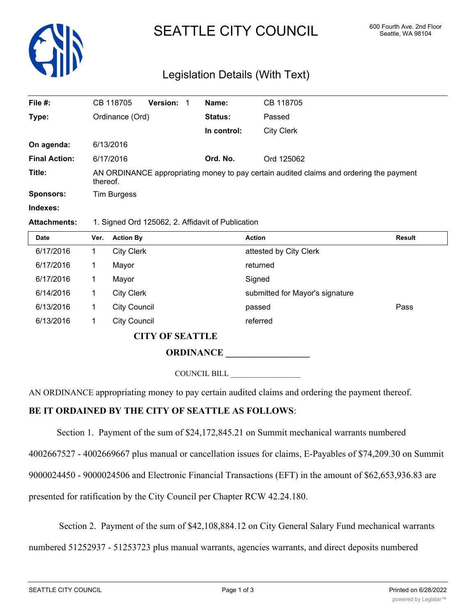

# SEATTLE CITY COUNCIL 600 Fourth Ave. 2nd Floor

# Legislation Details (With Text)

| File #:              | CB 118705                                                                                           | <b>Version:</b> | Name:       | CB 118705         |  |  |
|----------------------|-----------------------------------------------------------------------------------------------------|-----------------|-------------|-------------------|--|--|
| Type:                | Ordinance (Ord)                                                                                     |                 | Status:     | Passed            |  |  |
|                      |                                                                                                     |                 | In control: | <b>City Clerk</b> |  |  |
| On agenda:           | 6/13/2016                                                                                           |                 |             |                   |  |  |
| <b>Final Action:</b> | 6/17/2016                                                                                           |                 | Ord. No.    | Ord 125062        |  |  |
| Title:               | AN ORDINANCE appropriating money to pay certain audited claims and ordering the payment<br>thereof. |                 |             |                   |  |  |
| <b>Sponsors:</b>     | <b>Tim Burgess</b>                                                                                  |                 |             |                   |  |  |
| Indexes:             |                                                                                                     |                 |             |                   |  |  |

#### **Attachments:** 1. Signed Ord 125062, 2. Affidavit of Publication

| <b>Date</b> | Ver. | <b>Action By</b>       | <b>Action</b>                   | <b>Result</b> |
|-------------|------|------------------------|---------------------------------|---------------|
| 6/17/2016   |      | <b>City Clerk</b>      | attested by City Clerk          |               |
| 6/17/2016   |      | Mayor                  | returned                        |               |
| 6/17/2016   |      | Mayor                  | Signed                          |               |
| 6/14/2016   |      | <b>City Clerk</b>      | submitted for Mayor's signature |               |
| 6/13/2016   |      | <b>City Council</b>    | passed                          | Pass          |
| 6/13/2016   |      | <b>City Council</b>    | referred                        |               |
|             |      | <b>CITY OF SEATTLE</b> |                                 |               |

**ORDINANCE** 

COUNCIL BILL \_\_\_\_\_\_\_\_\_\_\_\_\_\_\_\_\_\_

AN ORDINANCE appropriating money to pay certain audited claims and ordering the payment thereof.

## **BE IT ORDAINED BY THE CITY OF SEATTLE AS FOLLOWS**:

Section 1. Payment of the sum of \$24,172,845.21 on Summit mechanical warrants numbered

4002667527 - 4002669667 plus manual or cancellation issues for claims, E-Payables of \$74,209.30 on Summit

9000024450 - 9000024506 and Electronic Financial Transactions (EFT) in the amount of \$62,653,936.83 are

presented for ratification by the City Council per Chapter RCW 42.24.180.

Section 2. Payment of the sum of \$42,108,884.12 on City General Salary Fund mechanical warrants

numbered 51252937 - 51253723 plus manual warrants, agencies warrants, and direct deposits numbered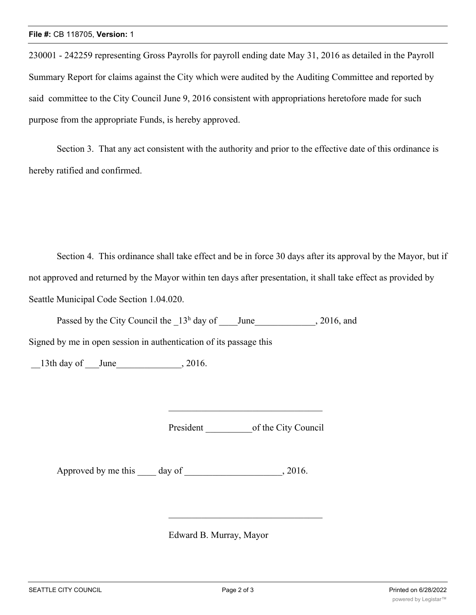230001 - 242259 representing Gross Payrolls for payroll ending date May 31, 2016 as detailed in the Payroll Summary Report for claims against the City which were audited by the Auditing Committee and reported by said committee to the City Council June 9, 2016 consistent with appropriations heretofore made for such purpose from the appropriate Funds, is hereby approved.

Section 3. That any act consistent with the authority and prior to the effective date of this ordinance is hereby ratified and confirmed.

Section 4. This ordinance shall take effect and be in force 30 days after its approval by the Mayor, but if not approved and returned by the Mayor within ten days after presentation, it shall take effect as provided by Seattle Municipal Code Section 1.04.020.

Passed by the City Council the  $13<sup>h</sup>$  day of June , 2016, and

Signed by me in open session in authentication of its passage this

13th day of June , 2016.

President \_\_\_\_\_\_\_\_\_\_of the City Council

Approved by me this day of the same capacity of the same capacity of  $\sim 2016$ .

Edward B. Murray, Mayor